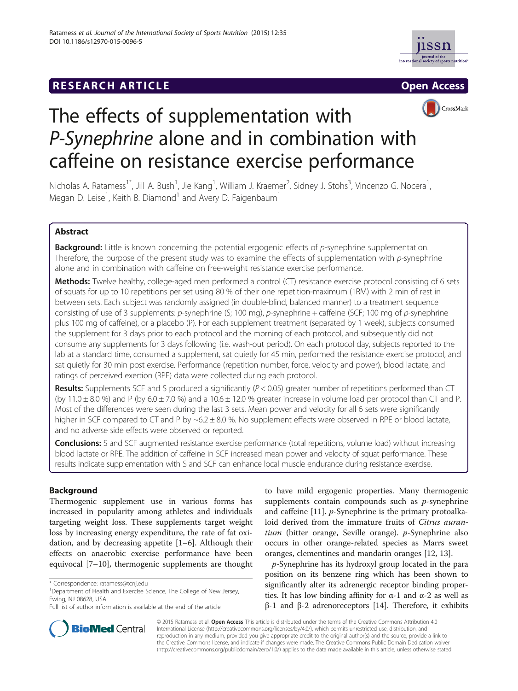# **RESEARCH ARTICLE Example 2014 12:30 The SEAR CH ACCESS**





# The effects of supplementation with P-Synephrine alone and in combination with caffeine on resistance exercise performance

Nicholas A. Ratamess<sup>1\*</sup>, Jill A. Bush<sup>1</sup>, Jie Kang<sup>1</sup>, William J. Kraemer<sup>2</sup>, Sidney J. Stohs<sup>3</sup>, Vincenzo G. Nocera<sup>1</sup> , Megan D. Leise<sup>1</sup>, Keith B. Diamond<sup>1</sup> and Avery D. Faigenbaum<sup>1</sup>

### Abstract

Background: Little is known concerning the potential ergogenic effects of p-synephrine supplementation. Therefore, the purpose of the present study was to examine the effects of supplementation with p-synephrine alone and in combination with caffeine on free-weight resistance exercise performance.

Methods: Twelve healthy, college-aged men performed a control (CT) resistance exercise protocol consisting of 6 sets of squats for up to 10 repetitions per set using 80 % of their one repetition-maximum (1RM) with 2 min of rest in between sets. Each subject was randomly assigned (in double-blind, balanced manner) to a treatment sequence consisting of use of 3 supplements: p-synephrine (S; 100 mg), p-synephrine + caffeine (SCF; 100 mg of p-synephrine plus 100 mg of caffeine), or a placebo (P). For each supplement treatment (separated by 1 week), subjects consumed the supplement for 3 days prior to each protocol and the morning of each protocol, and subsequently did not consume any supplements for 3 days following (i.e. wash-out period). On each protocol day, subjects reported to the lab at a standard time, consumed a supplement, sat quietly for 45 min, performed the resistance exercise protocol, and sat quietly for 30 min post exercise. Performance (repetition number, force, velocity and power), blood lactate, and ratings of perceived exertion (RPE) data were collected during each protocol.

**Results:** Supplements SCF and S produced a significantly ( $P < 0.05$ ) greater number of repetitions performed than CT (by 11.0  $\pm$  8.0 %) and P (by 6.0  $\pm$  7.0 %) and a 10.6  $\pm$  12.0 % greater increase in volume load per protocol than CT and P. Most of the differences were seen during the last 3 sets. Mean power and velocity for all 6 sets were significantly higher in SCF compared to CT and P by  $\sim 6.2 \pm 8.0$  %. No supplement effects were observed in RPE or blood lactate, and no adverse side effects were observed or reported.

**Conclusions:** S and SCF augmented resistance exercise performance (total repetitions, volume load) without increasing blood lactate or RPE. The addition of caffeine in SCF increased mean power and velocity of squat performance. These results indicate supplementation with S and SCF can enhance local muscle endurance during resistance exercise.

## Background

Thermogenic supplement use in various forms has increased in popularity among athletes and individuals targeting weight loss. These supplements target weight loss by increasing energy expenditure, the rate of fat oxidation, and by decreasing appetite [\[1](#page-9-0)–[6\]](#page-9-0). Although their effects on anaerobic exercise performance have been equivocal [\[7](#page-9-0)–[10\]](#page-9-0), thermogenic supplements are thought

to have mild ergogenic properties. Many thermogenic supplements contain compounds such as  $p$ -synephrine and caffeine  $[11]$  $[11]$ . *p*-Synephrine is the primary protoalkaloid derived from the immature fruits of Citrus aurantium (bitter orange, Seville orange). p-Synephrine also occurs in other orange-related species as Marrs sweet oranges, clementines and mandarin oranges [[12, 13\]](#page-9-0).

p-Synephrine has its hydroxyl group located in the para position on its benzene ring which has been shown to significantly alter its adrenergic receptor binding properties. It has low binding affinity for  $α-1$  and  $α-2$  as well as β-1 and β-2 adrenoreceptors [\[14\]](#page-9-0). Therefore, it exhibits



© 2015 Ratamess et al. Open Access This article is distributed under the terms of the Creative Commons Attribution 4.0 International License [\(http://creativecommons.org/licenses/by/4.0/](http://creativecommons.org/licenses/by/4.0/)), which permits unrestricted use, distribution, and reproduction in any medium, provided you give appropriate credit to the original author(s) and the source, provide a link to the Creative Commons license, and indicate if changes were made. The Creative Commons Public Domain Dedication waiver [\(http://creativecommons.org/publicdomain/zero/1.0/](http://creativecommons.org/publicdomain/zero/1.0/)) applies to the data made available in this article, unless otherwise stated.

<sup>\*</sup> Correspondence: [ratamess@tcnj.edu](mailto:ratamess@tcnj.edu) <sup>1</sup>

<sup>&</sup>lt;sup>1</sup>Department of Health and Exercise Science, The College of New Jersey, Ewing, NJ 08628, USA

Full list of author information is available at the end of the article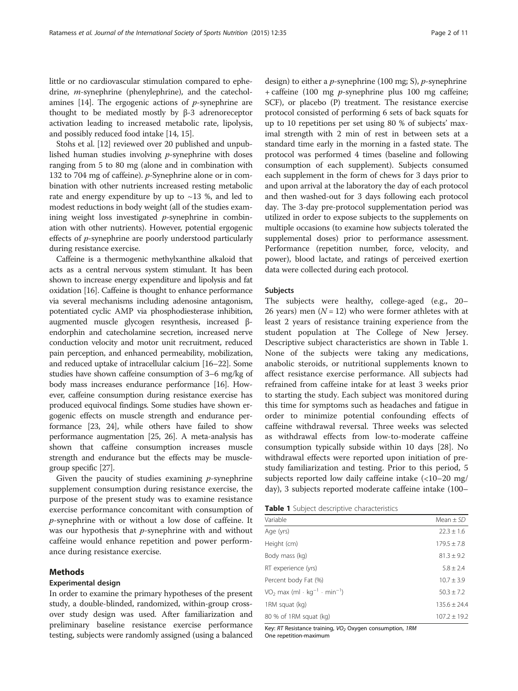little or no cardiovascular stimulation compared to ephedrine, m-synephrine (phenylephrine), and the catecholamines  $[14]$  $[14]$  $[14]$ . The ergogenic actions of *p*-synephrine are thought to be mediated mostly by β-3 adrenoreceptor activation leading to increased metabolic rate, lipolysis, and possibly reduced food intake [[14](#page-9-0), [15\]](#page-9-0).

Stohs et al. [[12](#page-9-0)] reviewed over 20 published and unpublished human studies involving p-synephrine with doses ranging from 5 to 80 mg (alone and in combination with 132 to 704 mg of caffeine). p-Synephrine alone or in combination with other nutrients increased resting metabolic rate and energy expenditure by up to  $\sim$ 13 %, and led to modest reductions in body weight (all of the studies examining weight loss investigated  $p$ -synephrine in combination with other nutrients). However, potential ergogenic effects of p-synephrine are poorly understood particularly during resistance exercise.

Caffeine is a thermogenic methylxanthine alkaloid that acts as a central nervous system stimulant. It has been shown to increase energy expenditure and lipolysis and fat oxidation [\[16\]](#page-9-0). Caffeine is thought to enhance performance via several mechanisms including adenosine antagonism, potentiated cyclic AMP via phosphodiesterase inhibition, augmented muscle glycogen resynthesis, increased βendorphin and catecholamine secretion, increased nerve conduction velocity and motor unit recruitment, reduced pain perception, and enhanced permeability, mobilization, and reduced uptake of intracellular calcium [[16](#page-9-0)–[22](#page-9-0)]. Some studies have shown caffeine consumption of 3–6 mg/kg of body mass increases endurance performance [[16](#page-9-0)]. However, caffeine consumption during resistance exercise has produced equivocal findings. Some studies have shown ergogenic effects on muscle strength and endurance performance [[23](#page-9-0), [24\]](#page-9-0), while others have failed to show performance augmentation [\[25, 26\]](#page-9-0). A meta-analysis has shown that caffeine consumption increases muscle strength and endurance but the effects may be musclegroup specific [\[27\]](#page-9-0).

Given the paucity of studies examining  $p$ -synephrine supplement consumption during resistance exercise, the purpose of the present study was to examine resistance exercise performance concomitant with consumption of p-synephrine with or without a low dose of caffeine. It was our hypothesis that  $p$ -synephrine with and without caffeine would enhance repetition and power performance during resistance exercise.

#### Methods

#### Experimental design

In order to examine the primary hypotheses of the present study, a double-blinded, randomized, within-group crossover study design was used. After familiarization and preliminary baseline resistance exercise performance testing, subjects were randomly assigned (using a balanced

design) to either a *p*-synephrine (100 mg; S), *p*-synephrine + caffeine (100 mg  $p$ -synephrine plus 100 mg caffeine; SCF), or placebo (P) treatment. The resistance exercise protocol consisted of performing 6 sets of back squats for up to 10 repetitions per set using 80 % of subjects' maximal strength with 2 min of rest in between sets at a standard time early in the morning in a fasted state. The protocol was performed 4 times (baseline and following consumption of each supplement). Subjects consumed each supplement in the form of chews for 3 days prior to and upon arrival at the laboratory the day of each protocol and then washed-out for 3 days following each protocol day. The 3-day pre-protocol supplementation period was utilized in order to expose subjects to the supplements on multiple occasions (to examine how subjects tolerated the supplemental doses) prior to performance assessment. Performance (repetition number, force, velocity, and power), blood lactate, and ratings of perceived exertion data were collected during each protocol.

#### Subjects

The subjects were healthy, college-aged (e.g., 20– 26 years) men  $(N = 12)$  who were former athletes with at least 2 years of resistance training experience from the student population at The College of New Jersey. Descriptive subject characteristics are shown in Table 1. None of the subjects were taking any medications, anabolic steroids, or nutritional supplements known to affect resistance exercise performance. All subjects had refrained from caffeine intake for at least 3 weeks prior to starting the study. Each subject was monitored during this time for symptoms such as headaches and fatigue in order to minimize potential confounding effects of caffeine withdrawal reversal. Three weeks was selected as withdrawal effects from low-to-moderate caffeine consumption typically subside within 10 days [\[28](#page-9-0)]. No withdrawal effects were reported upon initiation of prestudy familiarization and testing. Prior to this period, 5 subjects reported low daily caffeine intake (<10–20 mg/ day), 3 subjects reported moderate caffeine intake (100–

| Variable                                                                     | Mean $\pm$ SD    |
|------------------------------------------------------------------------------|------------------|
| Age (yrs)                                                                    | $22.3 \pm 1.6$   |
| Height (cm)                                                                  | $179.5 \pm 7.8$  |
| Body mass (kg)                                                               | $81.3 \pm 9.2$   |
| RT experience (yrs)                                                          | $5.8 \pm 2.4$    |
| Percent body Fat (%)                                                         | $10.7 \pm 3.9$   |
| VO <sub>2</sub> max (ml $\cdot$ kg <sup>-1</sup> $\cdot$ min <sup>-1</sup> ) | $50.3 \pm 7.2$   |
| 1RM squat (kg)                                                               | $135.6 \pm 24.4$ |
| 80 % of 1RM squat (kg)                                                       | $107.2 \pm 19.2$ |

Key: RT Resistance training,  $VO<sub>2</sub>$  Oxygen consumption, 1RM One repetition-maximum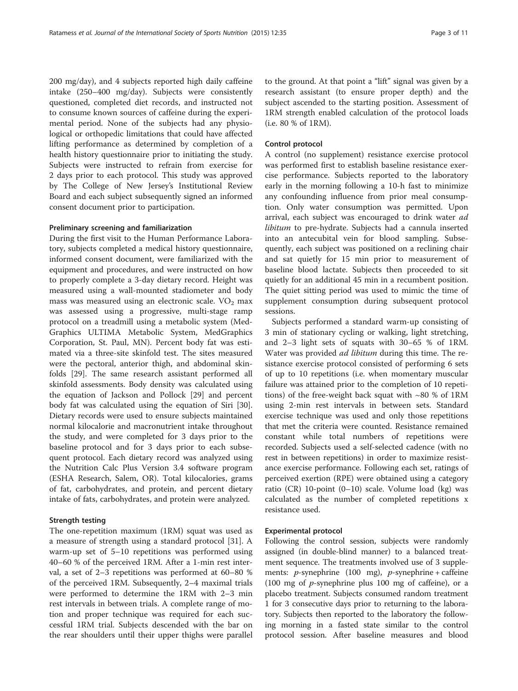200 mg/day), and 4 subjects reported high daily caffeine intake (250–400 mg/day). Subjects were consistently questioned, completed diet records, and instructed not to consume known sources of caffeine during the experimental period. None of the subjects had any physiological or orthopedic limitations that could have affected lifting performance as determined by completion of a health history questionnaire prior to initiating the study. Subjects were instructed to refrain from exercise for 2 days prior to each protocol. This study was approved by The College of New Jersey's Institutional Review Board and each subject subsequently signed an informed consent document prior to participation.

#### Preliminary screening and familiarization

During the first visit to the Human Performance Laboratory, subjects completed a medical history questionnaire, informed consent document, were familiarized with the equipment and procedures, and were instructed on how to properly complete a 3-day dietary record. Height was measured using a wall-mounted stadiometer and body mass was measured using an electronic scale.  $VO<sub>2</sub>$  max was assessed using a progressive, multi-stage ramp protocol on a treadmill using a metabolic system (Med-Graphics ULTIMA Metabolic System, MedGraphics Corporation, St. Paul, MN). Percent body fat was estimated via a three-site skinfold test. The sites measured were the pectoral, anterior thigh, and abdominal skinfolds [[29\]](#page-9-0). The same research assistant performed all skinfold assessments. Body density was calculated using the equation of Jackson and Pollock [[29\]](#page-9-0) and percent body fat was calculated using the equation of Siri [\[30](#page-9-0)]. Dietary records were used to ensure subjects maintained normal kilocalorie and macronutrient intake throughout the study, and were completed for 3 days prior to the baseline protocol and for 3 days prior to each subsequent protocol. Each dietary record was analyzed using the Nutrition Calc Plus Version 3.4 software program (ESHA Research, Salem, OR). Total kilocalories, grams of fat, carbohydrates, and protein, and percent dietary intake of fats, carbohydrates, and protein were analyzed.

#### Strength testing

The one-repetition maximum (1RM) squat was used as a measure of strength using a standard protocol [[31\]](#page-10-0). A warm-up set of 5–10 repetitions was performed using 40–60 % of the perceived 1RM. After a 1-min rest interval, a set of 2–3 repetitions was performed at 60–80 % of the perceived 1RM. Subsequently, 2–4 maximal trials were performed to determine the 1RM with 2–3 min rest intervals in between trials. A complete range of motion and proper technique was required for each successful 1RM trial. Subjects descended with the bar on the rear shoulders until their upper thighs were parallel to the ground. At that point a "lift" signal was given by a research assistant (to ensure proper depth) and the subject ascended to the starting position. Assessment of 1RM strength enabled calculation of the protocol loads (i.e. 80 % of 1RM).

#### Control protocol

A control (no supplement) resistance exercise protocol was performed first to establish baseline resistance exercise performance. Subjects reported to the laboratory early in the morning following a 10-h fast to minimize any confounding influence from prior meal consumption. Only water consumption was permitted. Upon arrival, each subject was encouraged to drink water ad libitum to pre-hydrate. Subjects had a cannula inserted into an antecubital vein for blood sampling. Subsequently, each subject was positioned on a reclining chair and sat quietly for 15 min prior to measurement of baseline blood lactate. Subjects then proceeded to sit quietly for an additional 45 min in a recumbent position. The quiet sitting period was used to mimic the time of supplement consumption during subsequent protocol sessions.

Subjects performed a standard warm-up consisting of 3 min of stationary cycling or walking, light stretching, and 2–3 light sets of squats with 30–65 % of 1RM. Water was provided *ad libitum* during this time. The resistance exercise protocol consisted of performing 6 sets of up to 10 repetitions (i.e. when momentary muscular failure was attained prior to the completion of 10 repetitions) of the free-weight back squat with  $\sim80$  % of 1RM using 2-min rest intervals in between sets. Standard exercise technique was used and only those repetitions that met the criteria were counted. Resistance remained constant while total numbers of repetitions were recorded. Subjects used a self-selected cadence (with no rest in between repetitions) in order to maximize resistance exercise performance. Following each set, ratings of perceived exertion (RPE) were obtained using a category ratio (CR) 10-point (0–10) scale. Volume load (kg) was calculated as the number of completed repetitions x resistance used.

#### Experimental protocol

Following the control session, subjects were randomly assigned (in double-blind manner) to a balanced treatment sequence. The treatments involved use of 3 supplements: *p*-synephrine (100 mg), *p*-synephrine + caffeine (100 mg of  $p$ -synephrine plus 100 mg of caffeine), or a placebo treatment. Subjects consumed random treatment 1 for 3 consecutive days prior to returning to the laboratory. Subjects then reported to the laboratory the following morning in a fasted state similar to the control protocol session. After baseline measures and blood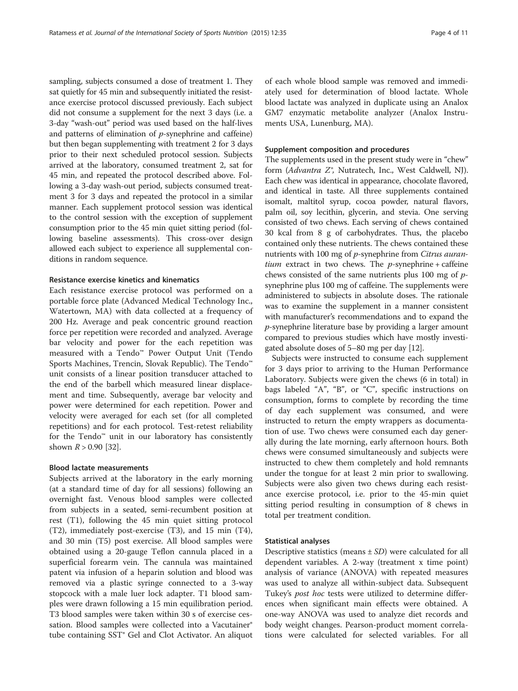sampling, subjects consumed a dose of treatment 1. They sat quietly for 45 min and subsequently initiated the resistance exercise protocol discussed previously. Each subject did not consume a supplement for the next 3 days (i.e. a 3-day "wash-out" period was used based on the half-lives and patterns of elimination of  $p$ -synephrine and caffeine) but then began supplementing with treatment 2 for 3 days prior to their next scheduled protocol session. Subjects arrived at the laboratory, consumed treatment 2, sat for 45 min, and repeated the protocol described above. Following a 3-day wash-out period, subjects consumed treatment 3 for 3 days and repeated the protocol in a similar manner. Each supplement protocol session was identical to the control session with the exception of supplement consumption prior to the 45 min quiet sitting period (following baseline assessments). This cross-over design allowed each subject to experience all supplemental conditions in random sequence.

#### Resistance exercise kinetics and kinematics

Each resistance exercise protocol was performed on a portable force plate (Advanced Medical Technology Inc., Watertown, MA) with data collected at a frequency of 200 Hz. Average and peak concentric ground reaction force per repetition were recorded and analyzed. Average bar velocity and power for the each repetition was measured with a Tendo™ Power Output Unit (Tendo Sports Machines, Trencin, Slovak Republic). The Tendo™ unit consists of a linear position transducer attached to the end of the barbell which measured linear displacement and time. Subsequently, average bar velocity and power were determined for each repetition. Power and velocity were averaged for each set (for all completed repetitions) and for each protocol. Test-retest reliability for the Tendo™ unit in our laboratory has consistently shown  $R > 0.90$  [\[32\]](#page-10-0).

#### Blood lactate measurements

Subjects arrived at the laboratory in the early morning (at a standard time of day for all sessions) following an overnight fast. Venous blood samples were collected from subjects in a seated, semi-recumbent position at rest (T1), following the 45 min quiet sitting protocol (T2), immediately post-exercise (T3), and 15 min (T4), and 30 min (T5) post exercise. All blood samples were obtained using a 20-gauge Teflon cannula placed in a superficial forearm vein. The cannula was maintained patent via infusion of a heparin solution and blood was removed via a plastic syringe connected to a 3-way stopcock with a male luer lock adapter. T1 blood samples were drawn following a 15 min equilibration period. T3 blood samples were taken within 30 s of exercise cessation. Blood samples were collected into a Vacutainer® tube containing SST® Gel and Clot Activator. An aliquot of each whole blood sample was removed and immediately used for determination of blood lactate. Whole blood lactate was analyzed in duplicate using an Analox GM7 enzymatic metabolite analyzer (Analox Instruments USA, Lunenburg, MA).

#### Supplement composition and procedures

The supplements used in the present study were in "chew" form (Advantra Z®, Nutratech, Inc., West Caldwell, NJ). Each chew was identical in appearance, chocolate flavored, and identical in taste. All three supplements contained isomalt, maltitol syrup, cocoa powder, natural flavors, palm oil, soy lecithin, glycerin, and stevia. One serving consisted of two chews. Each serving of chews contained 30 kcal from 8 g of carbohydrates. Thus, the placebo contained only these nutrients. The chews contained these nutrients with 100 mg of p-synephrine from Citrus auran*tium* extract in two chews. The  $p$ -synephrine + caffeine chews consisted of the same nutrients plus 100 mg of psynephrine plus 100 mg of caffeine. The supplements were administered to subjects in absolute doses. The rationale was to examine the supplement in a manner consistent with manufacturer's recommendations and to expand the p-synephrine literature base by providing a larger amount compared to previous studies which have mostly investigated absolute doses of 5–80 mg per day [\[12\]](#page-9-0).

Subjects were instructed to consume each supplement for 3 days prior to arriving to the Human Performance Laboratory. Subjects were given the chews (6 in total) in bags labeled "A", "B", or "C", specific instructions on consumption, forms to complete by recording the time of day each supplement was consumed, and were instructed to return the empty wrappers as documentation of use. Two chews were consumed each day generally during the late morning, early afternoon hours. Both chews were consumed simultaneously and subjects were instructed to chew them completely and hold remnants under the tongue for at least 2 min prior to swallowing. Subjects were also given two chews during each resistance exercise protocol, i.e. prior to the 45-min quiet sitting period resulting in consumption of 8 chews in total per treatment condition.

#### Statistical analyses

Descriptive statistics (means  $\pm SD$ ) were calculated for all dependent variables. A 2-way (treatment x time point) analysis of variance (ANOVA) with repeated measures was used to analyze all within-subject data. Subsequent Tukey's *post hoc* tests were utilized to determine differences when significant main effects were obtained. A one-way ANOVA was used to analyze diet records and body weight changes. Pearson-product moment correlations were calculated for selected variables. For all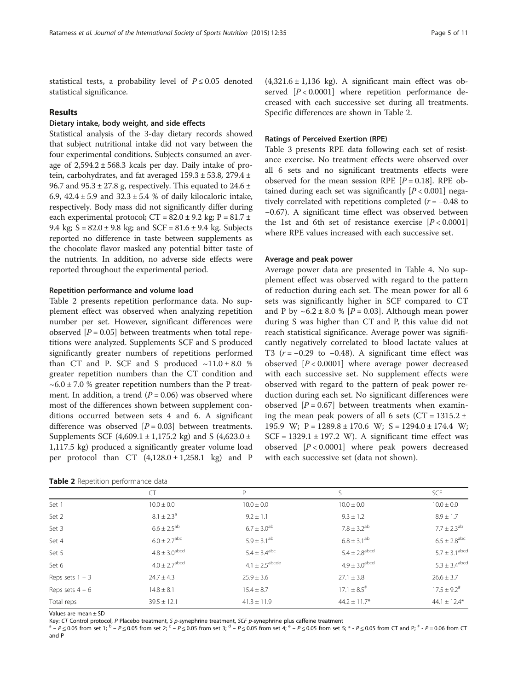statistical tests, a probability level of  $P \le 0.05$  denoted statistical significance.

#### Results

#### Dietary intake, body weight, and side effects

Statistical analysis of the 3-day dietary records showed that subject nutritional intake did not vary between the four experimental conditions. Subjects consumed an average of  $2,594.2 \pm 568.3$  kcals per day. Daily intake of protein, carbohydrates, and fat averaged 159.3 ± 53.8, 279.4 ± 96.7 and  $95.3 \pm 27.8$  g, respectively. This equated to  $24.6 \pm 10$ 6.9,  $42.4 \pm 5.9$  and  $32.3 \pm 5.4$  % of daily kilocaloric intake, respectively. Body mass did not significantly differ during each experimental protocol;  $CT = 82.0 \pm 9.2$  kg;  $P = 81.7 \pm 1.7$ 9.4 kg;  $S = 82.0 \pm 9.8$  kg; and  $SCF = 81.6 \pm 9.4$  kg. Subjects reported no difference in taste between supplements as the chocolate flavor masked any potential bitter taste of the nutrients. In addition, no adverse side effects were reported throughout the experimental period.

#### Repetition performance and volume load

Table 2 presents repetition performance data. No supplement effect was observed when analyzing repetition number per set. However, significant differences were observed  $[P = 0.05]$  between treatments when total repetitions were analyzed. Supplements SCF and S produced significantly greater numbers of repetitions performed than CT and P. SCF and S produced  $\sim$ 11.0 ± 8.0 % greater repetition numbers than the CT condition and  $\sim 6.0 \pm 7.0$  % greater repetition numbers than the P treatment. In addition, a trend ( $P = 0.06$ ) was observed where most of the differences shown between supplement conditions occurred between sets 4 and 6. A significant difference was observed  $[P = 0.03]$  between treatments. Supplements SCF (4,609.1  $\pm$  1,175.2 kg) and S (4,623.0  $\pm$ 1,117.5 kg) produced a significantly greater volume load per protocol than CT  $(4,128.0 \pm 1,258.1 \text{ kg})$  and P

| Table 2 Repetition performance data |  |  |
|-------------------------------------|--|--|
|-------------------------------------|--|--|

 $(4,321.6 \pm 1,136 \text{ kg})$ . A significant main effect was observed  $[P < 0.0001]$  where repetition performance decreased with each successive set during all treatments. Specific differences are shown in Table 2.

#### Ratings of Perceived Exertion (RPE)

Table [3](#page-5-0) presents RPE data following each set of resistance exercise. No treatment effects were observed over all 6 sets and no significant treatments effects were observed for the mean session RPE  $[P = 0.18]$ . RPE obtained during each set was significantly  $[P < 0.001]$  negatively correlated with repetitions completed ( $r = -0.48$  to −0.67). A significant time effect was observed between the 1st and 6th set of resistance exercise  $[P < 0.0001]$ where RPE values increased with each successive set.

#### Average and peak power

Average power data are presented in Table [4.](#page-5-0) No supplement effect was observed with regard to the pattern of reduction during each set. The mean power for all 6 sets was significantly higher in SCF compared to CT and P by  $\sim 6.2 \pm 8.0$  % [P = 0.03]. Although mean power during S was higher than CT and P, this value did not reach statistical significance. Average power was significantly negatively correlated to blood lactate values at T3 ( $r = -0.29$  to  $-0.48$ ). A significant time effect was observed  $[P < 0.0001]$  where average power decreased with each successive set. No supplement effects were observed with regard to the pattern of peak power reduction during each set. No significant differences were observed  $[P = 0.67]$  between treatments when examining the mean peak powers of all 6 sets ( $CT = 1315.2 \pm 100$ 195.9 W;  $P = 1289.8 \pm 170.6$  W;  $S = 1294.0 \pm 174.4$  W;  $SCF = 1329.1 \pm 197.2$  W). A significant time effect was observed  $[P < 0.0001]$  where peak powers decreased with each successive set (data not shown).

|                   | CT                            | P                            |                               | <b>SCF</b>                    |
|-------------------|-------------------------------|------------------------------|-------------------------------|-------------------------------|
| Set 1             | $10.0 \pm 0.0$                | $10.0 \pm 0.0$               | $10.0 \pm 0.0$                | $10.0 \pm 0.0$                |
| Set 2             | $8.1 \pm 2.3^{\circ}$         | $9.2 \pm 1.1$                | $9.3 \pm 1.2$                 | $8.9 \pm 1.7$                 |
| Set 3             | $6.6 \pm 2.5^{ab}$            | $6.7 \pm 3.0^{ab}$           | $7.8 \pm 3.2^{ab}$            | $7.7 \pm 2.3^{ab}$            |
| Set 4             | $6.0 \pm 2.7^{\rm abc}$       | $5.9 \pm 3.1^{ab}$           | $6.8 \pm 3.1^{ab}$            | $6.5 \pm 2.8$ <sup>abc</sup>  |
| Set 5             | $4.8 \pm 3.0$ <sup>abcd</sup> | $5.4 \pm 3.4^{\text{abc}}$   | $5.4 \pm 2.8$ <sup>abcd</sup> | $5.7 \pm 3.1^{\text{abcd}}$   |
| Set 6             | $4.0 \pm 2.7$ <sup>abcd</sup> | $4.1 + 2.5$ <sup>abcde</sup> | $4.9 \pm 3.0^{\rm abcd}$      | $5.3 \pm 3.4^{\mathrm{abcd}}$ |
| Reps sets $1 - 3$ | $24.7 \pm 4.3$                | $25.9 \pm 3.6$               | $27.1 \pm 3.8$                | $26.6 \pm 3.7$                |
| Reps sets $4 - 6$ | $14.8 \pm 8.1$                | $15.4 \pm 8.7$               | $17.1 \pm 8.5$ <sup>#</sup>   | $17.5 \pm 9.2$ <sup>#</sup>   |
| Total reps        | $39.5 \pm 12.1$               | $41.3 \pm 11.9$              | $44.2 \pm 11.7$ *             | $44.1 \pm 12.4*$              |
|                   |                               |                              |                               |                               |

Values are mean ± SD

Key: CT Control protocol, P Placebo treatment, S p-synephrine treatment, SCF p-synephrine plus caffeine treatment<br><sup>a</sup> –  $P \le 0.05$  from set 1; <sup>b</sup> –  $P \le 0.05$  from set 2; <sup>c</sup> –  $P \le 0.05$  from set 3; <sup>d</sup> –  $P \le 0.05$  fro and P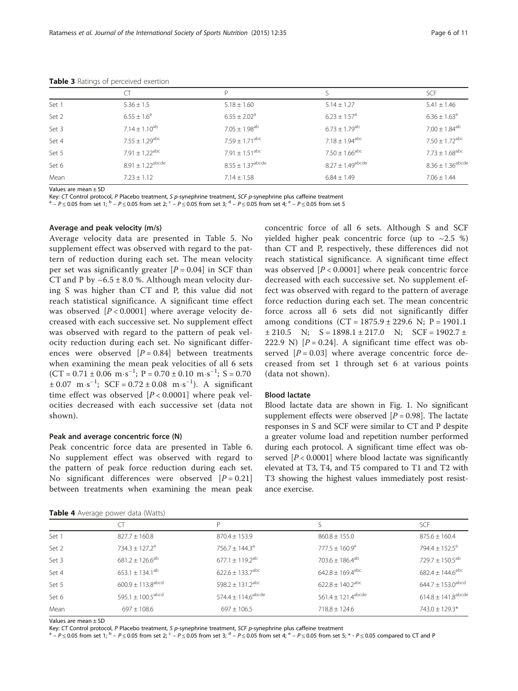|       | CT                           | P                            |                                | <b>SCF</b>                       |
|-------|------------------------------|------------------------------|--------------------------------|----------------------------------|
| Set 1 | $5.36 \pm 1.5$               | $5.18 \pm 1.60$              | $5.14 \pm 1.27$                | $5.41 \pm 1.46$                  |
| Set 2 | $6.55 \pm 1.6^a$             | $6.55 \pm 2.02^a$            | $6.23 \pm 1.57$ <sup>a</sup>   | $6.36 \pm 1.63$ <sup>a</sup>     |
| Set 3 | $7.14 \pm 1.10^{ab}$         | $7.05 \pm 1.98^{ab}$         | $6.73 \pm 1.79$ <sup>ab</sup>  | $7.00 \pm 1.84^{ab}$             |
| Set 4 | $7.55 + 1.29$ <sup>abc</sup> | $7.59 + 1.71^{abc}$          | $7.18 \pm 1.94^{\text{abc}}$   | $7.50 \pm 1.72^{\text{abc}}$     |
| Set 5 | $7.91 + 1.22^{abc}$          | $7.91 \pm 1.51^{\text{abc}}$ | $7.50 \pm 1.66$ <sup>abc</sup> | $7.73 \pm 1.68^{\text{abc}}$     |
| Set 6 | $8.91 + 1.22^{abcde}$        | $8.55 \pm 1.37^{\rm abcde}$  | $8.27 \pm 1.49^{\rm abcde}$    | $8.36 \pm 1.36^{\mathrm{abcde}}$ |
| Mean  | $7.23 \pm 1.12$              | $7.14 \pm 1.58$              | $6.84 \pm 1.49$                | $7.06 \pm 1.44$                  |

<span id="page-5-0"></span>Table 3 Ratings of perceived exertion

Values are mean ± SD

Key: CT Control protocol, P Placebo treatment, S p-synephrine treatment, SCF p-synephrine plus caffeine treatment<br><sup>a</sup> –  $P \le 0.05$  from set 1; <sup>b</sup> –  $P \le 0.05$  from set 2; <sup>c</sup> –  $P \le 0.05$  from set 3; <sup>d</sup> –  $P \le 0.05$  fro

#### Average and peak velocity (m/s)

Average velocity data are presented in Table [5.](#page-6-0) No supplement effect was observed with regard to the pattern of reduction during each set. The mean velocity per set was significantly greater  $[P = 0.04]$  in SCF than CT and P by  $\sim 6.5 \pm 8.0$  %. Although mean velocity during S was higher than CT and P, this value did not reach statistical significance. A significant time effect was observed  $[P < 0.0001]$  where average velocity decreased with each successive set. No supplement effect was observed with regard to the pattern of peak velocity reduction during each set. No significant differences were observed  $[P = 0.84]$  between treatments when examining the mean peak velocities of all 6 sets  $(CT = 0.71 \pm 0.06 \text{ m} \cdot \text{s}^{-1}; P = 0.70 \pm 0.10 \text{ m} \cdot \text{s}^{-1}; S = 0.70$  $\pm 0.07$  m⋅s<sup>-1</sup>; SCF = 0.72  $\pm 0.08$  m⋅s<sup>-1</sup>). A significant time effect was observed  $[P < 0.0001]$  where peak velocities decreased with each successive set (data not shown).

#### Peak and average concentric force (N)

Peak concentric force data are presented in Table [6](#page-6-0). No supplement effect was observed with regard to the pattern of peak force reduction during each set. No significant differences were observed  $[P = 0.21]$ between treatments when examining the mean peak

| Table 4 Average power data (Watts) |  |  |  |  |
|------------------------------------|--|--|--|--|
|------------------------------------|--|--|--|--|

concentric force of all 6 sets. Although S and SCF yielded higher peak concentric force (up to  $\sim$  2.5 %) than CT and P, respectively, these differences did not reach statistical significance. A significant time effect was observed  $[P < 0.0001]$  where peak concentric force decreased with each successive set. No supplement effect was observed with regard to the pattern of average force reduction during each set. The mean concentric force across all 6 sets did not significantly differ among conditions  $(CT = 1875.9 \pm 229.6 \text{ N}; P = 1901.1$  $\pm 210.5$  N;  $S = 1898.1 \pm 217.0$  N;  $SCF = 1902.7 \pm 1217.0$ 222.9 N)  $[P = 0.24]$ . A significant time effect was observed  $[P = 0.03]$  where average concentric force decreased from set 1 through set 6 at various points (data not shown).

#### Blood lactate

Blood lactate data are shown in Fig. [1](#page-7-0). No significant supplement effects were observed  $[P = 0.98]$ . The lactate responses in S and SCF were similar to CT and P despite a greater volume load and repetition number performed during each protocol. A significant time effect was observed  $[P < 0.0001]$  where blood lactate was significantly elevated at T3, T4, and T5 compared to T1 and T2 with T3 showing the highest values immediately post resistance exercise.

| <b>There</b> <i>I</i> , it closed political data (it acts) |                                   |                                  |                                  |                                    |
|------------------------------------------------------------|-----------------------------------|----------------------------------|----------------------------------|------------------------------------|
|                                                            |                                   | P                                |                                  | <b>SCF</b>                         |
| Set 1                                                      | $827.7 \pm 160.8$                 | $870.4 \pm 153.9$                | $860.8 \pm 155.0$                | $875.6 \pm 160.4$                  |
| Set 2                                                      | $734.3 \pm 127.2^a$               | $756.7 \pm 144.3^a$              | $777.5 \pm 160.9^a$              | 794.4 ± $152.5^a$                  |
| Set 3                                                      | $681.2 \pm 126.6^{ab}$            | $677.1 \pm 119.2^{ab}$           | $703.6 \pm 186.4^{ab}$           | $729.7 \pm 150.5^{ab}$             |
| Set 4                                                      | $653.1 \pm 134.1^{ab}$            | $622.6 \pm 133.7$ <sup>abc</sup> | $642.8 \pm 169.4^{\text{abc}}$   | $682.4 \pm 144.6^{\text{abc}}$     |
| Set 5                                                      | $600.9 \pm 113.8$ <sup>abcd</sup> | $598.2 \pm 131.2$ <sup>abc</sup> | $622.8 \pm 140.2$ <sup>abc</sup> | $644.7 \pm 153.0^{\rm abcd}$       |
| Set 6                                                      | 595.1 $\pm$ 100.5 <sup>abcd</sup> | $574.4 \pm 114.6^{\rm abcde}$    | $561.4 \pm 121.4^{\text{abcde}}$ | $614.8 \pm 141.8$ <sup>abcde</sup> |
| Mean                                                       | $697 \pm 108.6$                   | $697 \pm 106.5$                  | $718.8 \pm 124.6$                | 743.0 ± 129.3*                     |
|                                                            |                                   |                                  |                                  |                                    |

Values are mean ± SD<br>Key: CT Control protocol, P Placebo treatment, S p-synephrine treatment, SCF p-synephrine plus caffeine treatment

 $a - P \le 0.05$  from set 1;  $b - P \le 0.05$  from set 2;  $c - P \le 0.05$  from set 3;  $d - P \le 0.05$  from set 4;  $c - P \le 0.05$  from set 5;  $c - P \le 0.05$  compared to CT and P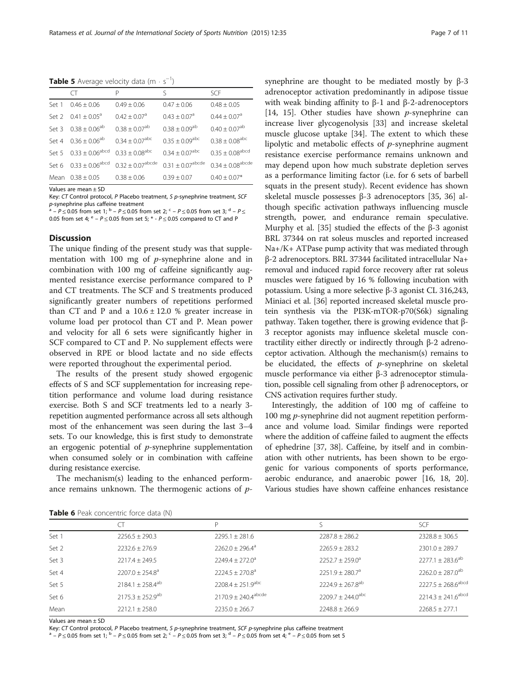<span id="page-6-0"></span>Table 5 Average velocity data  $(m \cdot s^{-1})$ 

|       | Œ                                   | Р                              | ς                            | SCE                             |
|-------|-------------------------------------|--------------------------------|------------------------------|---------------------------------|
| Set 1 | $0.46 \pm 0.06$                     | $0.49 + 0.06$                  | $0.47 + 0.06$                | $0.48 \pm 0.05$                 |
|       | Set 2 $0.41 + 0.05^{\circ}$         | $0.42 \pm 0.07$ <sup>a</sup>   | $0.43 \pm 0.07$ <sup>a</sup> | $0.44 \pm 0.07$ <sup>a</sup>    |
|       | Set 3 $0.38 \pm 0.06^{ab}$          | $0.38 + 0.07$ <sup>ab</sup>    | $0.38 \pm 0.09^{ab}$         | $0.40 \pm 0.07$ <sup>ab</sup>   |
| Set 4 | $0.36 \pm 0.06^{ab}$                | $0.34 \pm 0.07^{\text{abc}}$   | $0.35 \pm 0.09^{\text{abc}}$ | $0.38 \pm 0.08$ <sup>abc</sup>  |
|       | Set 5 $0.33 \pm 0.06^{\text{abcd}}$ | $0.33 \pm 0.08$ <sup>abc</sup> | $0.34 + 0.07^{\text{abc}}$   | $0.35 \pm 0.08$ <sup>abcd</sup> |
|       | Set 6 $0.33 \pm 0.06^{\text{abcd}}$ | $0.32 \pm 0.07^{\text{abcde}}$ | $0.31 \pm 0.07^{\rm abcde}$  | $0.34 \pm 0.08^{\rm abcde}$     |
| Mean  | $0.38 \pm 0.05$                     | $0.38 \pm 0.06$                | $0.39 \pm 0.07$              | $0.40 \pm 0.07*$                |

Values are mean ± SD

Key: CT Control protocol, P Placebo treatment, S p-synephrine treatment, SCF p-synephrine plus caffeine treatment

 $A^a - P \le 0.05$  from set 1;  $b - P \le 0.05$  from set 2;  $c - P \le 0.05$  from set 3;  $d - P \le 0.05$ 0.05 from set 4;  $e - P \le 0.05$  from set 5;  $e + P \le 0.05$  compared to CT and P

#### **Discussion**

The unique finding of the present study was that supplementation with 100 mg of  $p$ -synephrine alone and in combination with 100 mg of caffeine significantly augmented resistance exercise performance compared to P and CT treatments. The SCF and S treatments produced significantly greater numbers of repetitions performed than CT and P and a  $10.6 \pm 12.0$  % greater increase in volume load per protocol than CT and P. Mean power and velocity for all 6 sets were significantly higher in SCF compared to CT and P. No supplement effects were observed in RPE or blood lactate and no side effects were reported throughout the experimental period.

The results of the present study showed ergogenic effects of S and SCF supplementation for increasing repetition performance and volume load during resistance exercise. Both S and SCF treatments led to a nearly 3 repetition augmented performance across all sets although most of the enhancement was seen during the last 3–4 sets. To our knowledge, this is first study to demonstrate an ergogenic potential of  $p$ -synephrine supplementation when consumed solely or in combination with caffeine during resistance exercise.

The mechanism(s) leading to the enhanced performance remains unknown. The thermogenic actions of psynephrine are thought to be mediated mostly by β-3 adrenoceptor activation predominantly in adipose tissue with weak binding affinity to β-1 and β-2-adrenoceptors [[14, 15](#page-9-0)]. Other studies have shown  $p$ -synephrine can increase liver glycogenolysis [[33\]](#page-10-0) and increase skeletal muscle glucose uptake [[34\]](#page-10-0). The extent to which these lipolytic and metabolic effects of p-synephrine augment resistance exercise performance remains unknown and may depend upon how much substrate depletion serves as a performance limiting factor (i.e. for 6 sets of barbell squats in the present study). Recent evidence has shown skeletal muscle possesses β-3 adrenoceptors [\[35](#page-10-0), [36](#page-10-0)] although specific activation pathways influencing muscle strength, power, and endurance remain speculative. Murphy et al. [\[35](#page-10-0)] studied the effects of the β-3 agonist BRL 37344 on rat soleus muscles and reported increased Na+/K+ ATPase pump activity that was mediated through β-2 adrenoceptors. BRL 37344 facilitated intracellular Na+ removal and induced rapid force recovery after rat soleus muscles were fatigued by 16 % following incubation with potassium. Using a more selective β-3 agonist CL 316,243, Miniaci et al. [[36](#page-10-0)] reported increased skeletal muscle protein synthesis via the PI3K-mTOR-p70(S6k) signaling pathway. Taken together, there is growing evidence that β-3 receptor agonists may influence skeletal muscle contractility either directly or indirectly through β-2 adrenoceptor activation. Although the mechanism(s) remains to be elucidated, the effects of  $p$ -synephrine on skeletal muscle performance via either β-3 adrenoceptor stimulation, possible cell signaling from other β adrenoceptors, or CNS activation requires further study.

Interestingly, the addition of 100 mg of caffeine to 100 mg p-synephrine did not augment repetition performance and volume load. Similar findings were reported where the addition of caffeine failed to augment the effects of ephedrine [[37](#page-10-0), [38](#page-10-0)]. Caffeine, by itself and in combination with other nutrients, has been shown to be ergogenic for various components of sports performance, aerobic endurance, and anaerobic power [[16](#page-9-0), [18, 20](#page-9-0)]. Various studies have shown caffeine enhances resistance

| <b>FUDIC U</b> FUGIN CONCENTEIR TONCE GUILD (FV) |                         |                                   |                                 |                                    |
|--------------------------------------------------|-------------------------|-----------------------------------|---------------------------------|------------------------------------|
|                                                  |                         |                                   |                                 | <b>SCF</b>                         |
| Set 1                                            | $2256.5 \pm 290.3$      | $2295.1 \pm 281.6$                | $2287.8 \pm 286.2$              | $2328.8 \pm 306.5$                 |
| Set 2                                            | $2232.6 \pm 276.9$      | $2262.0 \pm 296.4^a$              | $2265.9 \pm 283.2$              | $2301.0 \pm 289.7$                 |
| Set 3                                            | $2217.4 \pm 249.5$      | $2249.4 \pm 272.0^a$              | $2252.7 \pm 259.0^a$            | $2277.1 \pm 283.6^{ab}$            |
| Set 4                                            | $2207.0 + 254.8^a$      | $2224.5 \pm 270.8^{\circ}$        | $2251.9 \pm 280.7^a$            | $2262.0 + 287.0$ <sup>ab</sup>     |
| Set 5                                            | $2184.1 \pm 258.4^{ab}$ | $2208.4 \pm 251.9$ <sup>abc</sup> | $2224.9 \pm 267.8^{ab}$         | $2227.5 \pm 268.6$ <sup>abcd</sup> |
| Set 6                                            | $2175.3 \pm 252.9^{ab}$ | $2170.9 \pm 240.4^{\text{abcde}}$ | $2209.7 \pm 244.0^{\text{abc}}$ | $2214.3 \pm 241.6$ <sup>abcd</sup> |
| Mean                                             | $2212.1 + 258.0$        | $7235.0 + 266.7$                  | $7748.8 + 766.9$                | $7768.5 + 777.1$                   |
|                                                  |                         |                                   |                                 |                                    |

Table 6 Peak concentric force data (N)

Values are mean ± SD<br>Key: CT Control protocol, P Placebo treatment, S p-synephrine treatment, SCF p-synephrine plus caffeine treatment

 $^a$  –  $P \le 0.05$  from set 1;  $^b$  –  $P \le 0.05$  from set 2;  $^c$  –  $P \le 0.05$  from set 3;  $^d$  –  $P \le 0.05$  from set 4;  $^e$  –  $P \le 0.05$  from set 5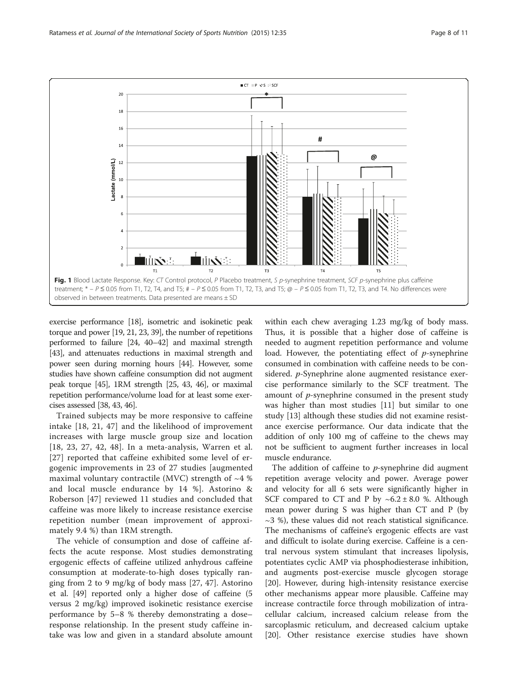<span id="page-7-0"></span>

exercise performance [\[18\]](#page-9-0), isometric and isokinetic peak torque and power [[19](#page-9-0), [21](#page-9-0), [23](#page-9-0), [39](#page-10-0)], the number of repetitions performed to failure [\[24,](#page-9-0) [40](#page-10-0)–[42\]](#page-10-0) and maximal strength [[43](#page-10-0)], and attenuates reductions in maximal strength and power seen during morning hours [[44\]](#page-10-0). However, some studies have shown caffeine consumption did not augment peak torque [\[45\]](#page-10-0), 1RM strength [\[25](#page-9-0), [43, 46\]](#page-10-0), or maximal repetition performance/volume load for at least some exercises assessed [\[38](#page-10-0), [43, 46\]](#page-10-0).

Trained subjects may be more responsive to caffeine intake [[18, 21](#page-9-0), [47](#page-10-0)] and the likelihood of improvement increases with large muscle group size and location [[18](#page-9-0), [23, 27](#page-9-0), [42](#page-10-0), [48\]](#page-10-0). In a meta-analysis, Warren et al. [[27](#page-9-0)] reported that caffeine exhibited some level of ergogenic improvements in 23 of 27 studies [augmented maximal voluntary contractile (MVC) strength of  $~4$  % and local muscle endurance by 14 %]. Astorino & Roberson [\[47\]](#page-10-0) reviewed 11 studies and concluded that caffeine was more likely to increase resistance exercise repetition number (mean improvement of approximately 9.4 %) than 1RM strength.

The vehicle of consumption and dose of caffeine affects the acute response. Most studies demonstrating ergogenic effects of caffeine utilized anhydrous caffeine consumption at moderate-to-high doses typically ranging from 2 to 9 mg/kg of body mass [[27,](#page-9-0) [47\]](#page-10-0). Astorino et al. [\[49\]](#page-10-0) reported only a higher dose of caffeine (5 versus 2 mg/kg) improved isokinetic resistance exercise performance by 5–8 % thereby demonstrating a dose– response relationship. In the present study caffeine intake was low and given in a standard absolute amount

within each chew averaging 1.23 mg/kg of body mass. Thus, it is possible that a higher dose of caffeine is needed to augment repetition performance and volume load. However, the potentiating effect of  $p$ -synephrine consumed in combination with caffeine needs to be considered. *p*-Synephrine alone augmented resistance exercise performance similarly to the SCF treatment. The amount of  $p$ -synephrine consumed in the present study was higher than most studies [[11\]](#page-9-0) but similar to one study [[13\]](#page-9-0) although these studies did not examine resistance exercise performance. Our data indicate that the addition of only 100 mg of caffeine to the chews may not be sufficient to augment further increases in local muscle endurance.

The addition of caffeine to  $p$ -synephrine did augment repetition average velocity and power. Average power and velocity for all 6 sets were significantly higher in SCF compared to CT and P by  $\sim 6.2 \pm 8.0$  %. Although mean power during S was higher than CT and P (by  $\sim$ 3 %), these values did not reach statistical significance. The mechanisms of caffeine's ergogenic effects are vast and difficult to isolate during exercise. Caffeine is a central nervous system stimulant that increases lipolysis, potentiates cyclic AMP via phosphodiesterase inhibition, and augments post-exercise muscle glycogen storage [[20\]](#page-9-0). However, during high-intensity resistance exercise other mechanisms appear more plausible. Caffeine may increase contractile force through mobilization of intracellular calcium, increased calcium release from the sarcoplasmic reticulum, and decreased calcium uptake [[20\]](#page-9-0). Other resistance exercise studies have shown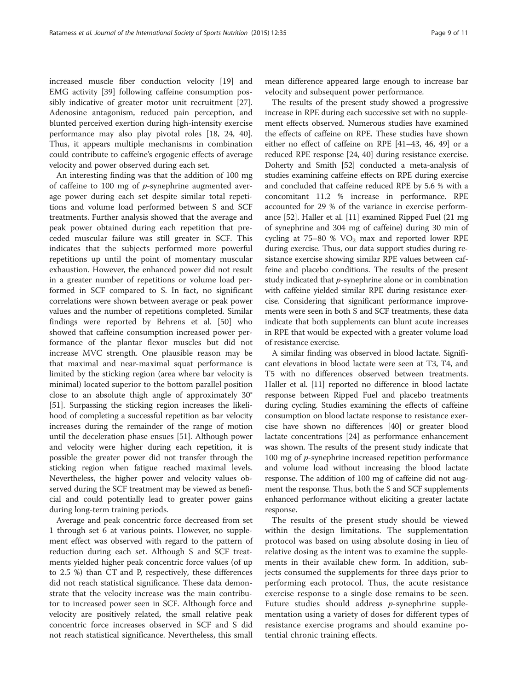increased muscle fiber conduction velocity [[19\]](#page-9-0) and EMG activity [[39\]](#page-10-0) following caffeine consumption possibly indicative of greater motor unit recruitment [\[27](#page-9-0)]. Adenosine antagonism, reduced pain perception, and blunted perceived exertion during high-intensity exercise performance may also play pivotal roles [[18](#page-9-0), [24,](#page-9-0) [40](#page-10-0)]. Thus, it appears multiple mechanisms in combination could contribute to caffeine's ergogenic effects of average velocity and power observed during each set.

An interesting finding was that the addition of 100 mg of caffeine to 100 mg of  $p$ -synephrine augmented average power during each set despite similar total repetitions and volume load performed between S and SCF treatments. Further analysis showed that the average and peak power obtained during each repetition that preceded muscular failure was still greater in SCF. This indicates that the subjects performed more powerful repetitions up until the point of momentary muscular exhaustion. However, the enhanced power did not result in a greater number of repetitions or volume load performed in SCF compared to S. In fact, no significant correlations were shown between average or peak power values and the number of repetitions completed. Similar findings were reported by Behrens et al. [\[50](#page-10-0)] who showed that caffeine consumption increased power performance of the plantar flexor muscles but did not increase MVC strength. One plausible reason may be that maximal and near-maximal squat performance is limited by the sticking region (area where bar velocity is minimal) located superior to the bottom parallel position close to an absolute thigh angle of approximately 30° [[51\]](#page-10-0). Surpassing the sticking region increases the likelihood of completing a successful repetition as bar velocity increases during the remainder of the range of motion until the deceleration phase ensues [\[51\]](#page-10-0). Although power and velocity were higher during each repetition, it is possible the greater power did not transfer through the sticking region when fatigue reached maximal levels. Nevertheless, the higher power and velocity values observed during the SCF treatment may be viewed as beneficial and could potentially lead to greater power gains during long-term training periods.

Average and peak concentric force decreased from set 1 through set 6 at various points. However, no supplement effect was observed with regard to the pattern of reduction during each set. Although S and SCF treatments yielded higher peak concentric force values (of up to 2.5 %) than CT and P, respectively, these differences did not reach statistical significance. These data demonstrate that the velocity increase was the main contributor to increased power seen in SCF. Although force and velocity are positively related, the small relative peak concentric force increases observed in SCF and S did not reach statistical significance. Nevertheless, this small

mean difference appeared large enough to increase bar velocity and subsequent power performance.

The results of the present study showed a progressive increase in RPE during each successive set with no supplement effects observed. Numerous studies have examined the effects of caffeine on RPE. These studies have shown either no effect of caffeine on RPE [\[41](#page-10-0)–[43, 46](#page-10-0), [49](#page-10-0)] or a reduced RPE response [[24](#page-9-0), [40](#page-10-0)] during resistance exercise. Doherty and Smith [[52](#page-10-0)] conducted a meta-analysis of studies examining caffeine effects on RPE during exercise and concluded that caffeine reduced RPE by 5.6 % with a concomitant 11.2 % increase in performance. RPE accounted for 29 % of the variance in exercise performance [\[52\]](#page-10-0). Haller et al. [[11](#page-9-0)] examined Ripped Fuel (21 mg of synephrine and 304 mg of caffeine) during 30 min of cycling at  $75-80$  %  $VO<sub>2</sub>$  max and reported lower RPE during exercise. Thus, our data support studies during resistance exercise showing similar RPE values between caffeine and placebo conditions. The results of the present study indicated that  $p$ -synephrine alone or in combination with caffeine yielded similar RPE during resistance exercise. Considering that significant performance improvements were seen in both S and SCF treatments, these data indicate that both supplements can blunt acute increases in RPE that would be expected with a greater volume load of resistance exercise.

A similar finding was observed in blood lactate. Significant elevations in blood lactate were seen at T3, T4, and T5 with no differences observed between treatments. Haller et al. [\[11\]](#page-9-0) reported no difference in blood lactate response between Ripped Fuel and placebo treatments during cycling. Studies examining the effects of caffeine consumption on blood lactate response to resistance exercise have shown no differences [\[40\]](#page-10-0) or greater blood lactate concentrations [\[24\]](#page-9-0) as performance enhancement was shown. The results of the present study indicate that 100 mg of *p*-synephrine increased repetition performance and volume load without increasing the blood lactate response. The addition of 100 mg of caffeine did not augment the response. Thus, both the S and SCF supplements enhanced performance without eliciting a greater lactate response.

The results of the present study should be viewed within the design limitations. The supplementation protocol was based on using absolute dosing in lieu of relative dosing as the intent was to examine the supplements in their available chew form. In addition, subjects consumed the supplements for three days prior to performing each protocol. Thus, the acute resistance exercise response to a single dose remains to be seen. Future studies should address *p*-synephrine supplementation using a variety of doses for different types of resistance exercise programs and should examine potential chronic training effects.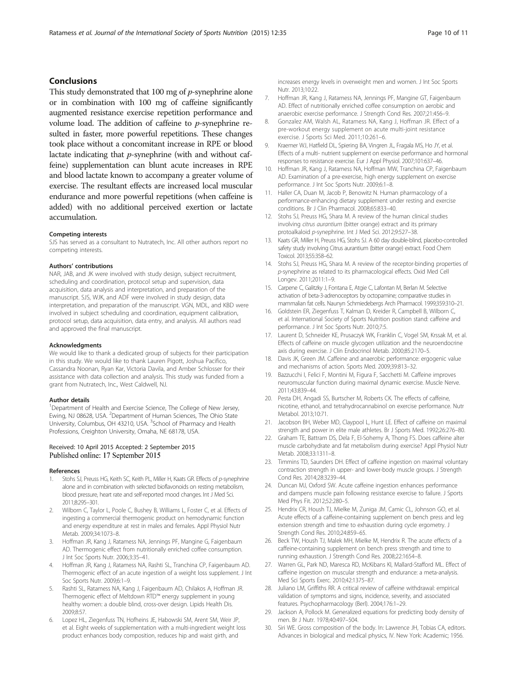#### <span id="page-9-0"></span>Conclusions

This study demonstrated that 100 mg of *p*-synephrine alone or in combination with 100 mg of caffeine significantly augmented resistance exercise repetition performance and volume load. The addition of caffeine to p-synephrine resulted in faster, more powerful repetitions. These changes took place without a concomitant increase in RPE or blood lactate indicating that p-synephrine (with and without caffeine) supplementation can blunt acute increases in RPE and blood lactate known to accompany a greater volume of exercise. The resultant effects are increased local muscular endurance and more powerful repetitions (when caffeine is added) with no additional perceived exertion or lactate accumulation.

#### Competing interests

SJS has served as a consultant to Nutratech, Inc. All other authors report no competing interests.

#### Authors' contributions

NAR, JAB, and JK were involved with study design, subject recruitment, scheduling and coordination, protocol setup and supervision, data acquisition, data analysis and interpretation, and preparation of the manuscript. SJS, WJK, and ADF were involved in study design, data interpretation, and preparation of the manuscript. VGN, MDL, and KBD were involved in subject scheduling and coordination, equipment calibration, protocol setup, data acquisition, data entry, and analysis. All authors read and approved the final manuscript.

#### Acknowledgments

We would like to thank a dedicated group of subjects for their participation in this study. We would like to thank Lauren Pigott, Joshua Pacifico, Cassandra Noonan, Ryan Kar, Victoria Davila, and Amber Schlosser for their assistance with data collection and analysis. This study was funded from a grant from Nutratech, Inc., West Caldwell, NJ.

#### Author details

<sup>1</sup>Department of Health and Exercise Science, The College of New Jersey, Ewing, NJ 08628, USA. <sup>2</sup>Department of Human Sciences, The Ohio State University, Columbus, OH 43210, USA. <sup>3</sup>School of Pharmacy and Health Professions, Creighton University, Omaha, NE 68178, USA.

#### Received: 10 April 2015 Accepted: 2 September 2015 Published online: 17 September 2015

#### References

- 1. Stohs SJ, Preuss HG, Keith SC, Keith PL, Miller H, Kaats GR. Effects of p-synephrine alone and in combination with selected bioflavonoids on resting metabolism, blood pressure, heart rate and self-reported mood changes. Int J Med Sci. 2011;8:295–301.
- 2. Wilborn C, Taylor L, Poole C, Bushey B, Williams L, Foster C, et al. Effects of ingesting a commercial thermogenic product on hemodynamic function and energy expenditure at rest in males and females. Appl Physiol Nutr Metab. 2009;34:1073–8.
- 3. Hoffman JR, Kang J, Ratamess NA, Jennings PF, Mangine G, Faigenbaum AD. Thermogenic effect from nutritionally enriched coffee consumption. J Int Soc Sports Nutr. 2006;3:35–41.
- 4. Hoffman JR, Kang J, Ratamess NA, Rashti SL, Tranchina CP, Faigenbaum AD. Thermogenic effect of an acute ingestion of a weight loss supplement. J Int Soc Sports Nutr. 2009;6:1–9.
- 5. Rashti SL, Ratamess NA, Kang J, Faigenbaum AD, Chilakos A, Hoffman JR. Thermogenic effect of Meltdown RTD™ energy supplement in young healthy women: a double blind, cross-over design. Lipids Health Dis. 2009;8:57.
- 6. Lopez HL, Ziegenfuss TN, Hofheins JE, Habowski SM, Arent SM, Weir JP, et al. Eight weeks of supplementation with a multi-ingredient weight loss product enhances body composition, reduces hip and waist girth, and

increases energy levels in overweight men and women. J Int Soc Sports Nutr. 2013;10:22.

- 7. Hoffman JR, Kang J, Ratamess NA, Jennings PF, Mangine GT, Faigenbaum AD. Effect of nutritionally enriched coffee consumption on aerobic and anaerobic exercise performance. J Strength Cond Res. 2007;21:456–9.
- Gonzalez AM, Walsh AL, Ratamess NA, Kang J, Hoffman JR. Effect of a pre-workout energy supplement on acute multi-joint resistance exercise. J Sports Sci Med. 2011;10:261–6.
- 9. Kraemer WJ, Hatfield DL, Spiering BA, Vingren JL, Fragala MS, Ho JY, et al. Effects of a multi- nutrient supplement on exercise performance and hormonal responses to resistance exercise. Eur J Appl Physiol. 2007;101:637–46.
- 10. Hoffman JR, Kang J, Ratamess NA, Hoffman MW, Tranchina CP, Faigenbaum AD. Examination of a pre-exercise, high energy supplement on exercise performance. J Int Soc Sports Nutr. 2009;6:1–8.
- 11. Haller CA, Duan M, Jacob P, Benowitz N. Human pharmacology of a performance-enhancing dietary supplement under resting and exercise conditions. Br J Clin Pharmacol. 2008;65:833–40.
- 12. Stohs SJ, Preuss HG, Shara M. A review of the human clinical studies involving citrus aurantium (bitter orange) extract and its primary protoalkaloid p-synephrine. Int J Med Sci. 2012;9:527–38.
- 13. Kaats GR, Miller H, Preuss HG, Stohs SJ. A 60 day double-blind, placebo-controlled safety study involving Citrus aurantium (bitter orange) extract. Food Chem Toxicol. 2013;55:358–62.
- 14. Stohs SJ, Preuss HG, Shara M. A review of the receptor-binding properties of p-synephrine as related to its pharmacological effects. Oxid Med Cell Longev. 2011;2011:1–9.
- 15. Carpene C, Galitzky J, Fontana E, Atgie C, Lafontan M, Berlan M. Selective activation of beta-3-adrenoceptors by octopamine; comparative studies in mammalian fat cells. Naunyn Schmiedebergs Arch Pharmacol. 1999;359:310–21.
- 16. Goldstein ER, Ziegenfuss T, Kalman D, Kreider R, Campbell B, Wilborn C, et al. International Society of Sports Nutrition position stand: caffeine and performance. J Int Soc Sports Nutr. 2010;7:5.
- 17. Laurent D, Schneider KE, Prusaczyk WK, Franklin C, Vogel SM, Krssak M, et al. Effects of caffeine on muscle glycogen utilization and the neuroendocrine axis during exercise. J Clin Endocrinol Metab. 2000;85:2170–5.
- 18. Davis JK, Green JM. Caffeine and anaerobic performance: ergogenic value and mechanisms of action. Sports Med. 2009;39:813–32.
- 19. Bazzucchi I, Felici F, Montini M, Figura F, Sacchetti M. Caffeine improves neuromuscular function during maximal dynamic exercise. Muscle Nerve. 2011;43:839–44.
- 20. Pesta DH, Angadi SS, Burtscher M, Roberts CK. The effects of caffeine, nicotine, ethanol, and tetrahydrocannabinol on exercise performance. Nutr Metabol. 2013;10:71.
- 21. Jacobson BH, Weber MD, Claypool L, Hunt LE. Effect of caffeine on maximal strength and power in elite male athletes. Br J Sports Med. 1992;26:276–80.
- 22. Graham TE, Battram DS, Dela F, El-Sohemy A, Thong FS. Does caffeine alter muscle carbohydrate and fat metabolism during exercise? Appl Physiol Nutr Metab. 2008;33:1311–8.
- 23. Timmins TD, Saunders DH. Effect of caffeine ingestion on maximal voluntary contraction strength in upper- and lower-body muscle groups. J Strength Cond Res. 2014;28:3239–44.
- 24. Duncan MJ, Oxford SW. Acute caffeine ingestion enhances performance and dampens muscle pain following resistance exercise to failure. J Sports Med Phys Fit. 2012;52:280–5.
- 25. Hendrix CR, Housh TJ, Mielke M, Zuniga JM, Camic CL, Johnson GO, et al. Acute effects of a caffeine-containing supplement on bench press and leg extension strength and time to exhaustion during cycle ergometry. J Strength Cond Res. 2010;24:859–65.
- 26. Beck TW, Housh TJ, Malek MH, Mielke M, Hendrix R. The acute effects of a caffeine-containing supplement on bench press strength and time to running exhaustion. J Strength Cond Res. 2008;22:1654–8.
- 27. Warren GL, Park ND, Maresca RD, McKibans KI, Mallard-Stafford ML. Effect of caffeine ingestion on muscular strength and endurance: a meta-analysis. Med Sci Sports Exerc. 2010;42:1375–87.
- 28. Juliano LM, Griffiths RR. A critical review of caffeine withdrawal: empirical validation of symptoms and signs, incidence, severity, and associated features. Psychopharmacology (Berl). 2004;176:1–29.
- 29. Jackson A, Pollock M. Generalized equations for predicting body density of men. Br J Nutr. 1978;40:497–504.
- 30. Siri WE. Gross composition of the body. In: Lawrence JH, Tobias CA, editors. Advances in biological and medical physics, IV. New York: Academic; 1956.